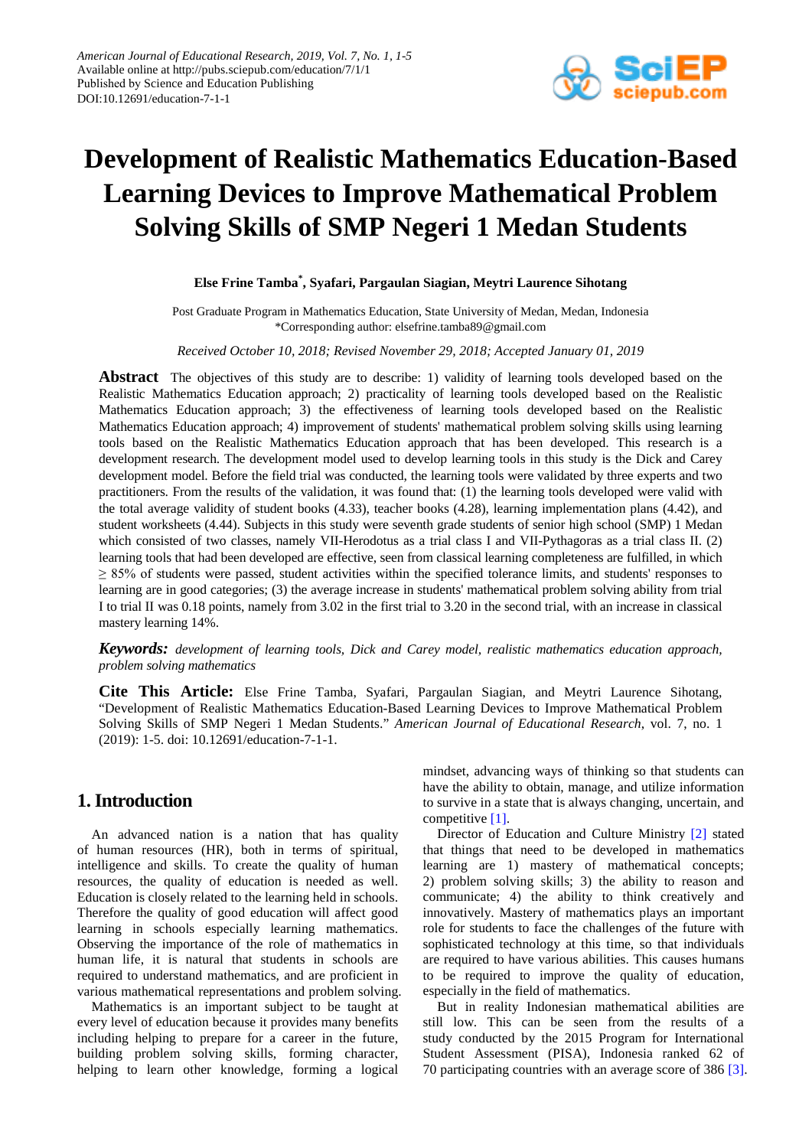

# **Development of Realistic Mathematics Education-Based Learning Devices to Improve Mathematical Problem Solving Skills of SMP Negeri 1 Medan Students**

### **Else Frine Tamba\* , Syafari, Pargaulan Siagian, Meytri Laurence Sihotang**

Post Graduate Program in Mathematics Education, State University of Medan, Medan, Indonesia \*Corresponding author: elsefrine.tamba89@gmail.com

*Received October 10, 2018; Revised November 29, 2018; Accepted January 01, 2019*

**Abstract** The objectives of this study are to describe: 1) validity of learning tools developed based on the Realistic Mathematics Education approach; 2) practicality of learning tools developed based on the Realistic Mathematics Education approach; 3) the effectiveness of learning tools developed based on the Realistic Mathematics Education approach; 4) improvement of students' mathematical problem solving skills using learning tools based on the Realistic Mathematics Education approach that has been developed. This research is a development research. The development model used to develop learning tools in this study is the Dick and Carey development model. Before the field trial was conducted, the learning tools were validated by three experts and two practitioners. From the results of the validation, it was found that: (1) the learning tools developed were valid with the total average validity of student books (4.33), teacher books (4.28), learning implementation plans (4.42), and student worksheets (4.44). Subjects in this study were seventh grade students of senior high school (SMP) 1 Medan which consisted of two classes, namely VII-Herodotus as a trial class I and VII-Pythagoras as a trial class II. (2) learning tools that had been developed are effective, seen from classical learning completeness are fulfilled, in which ≥ 85% of students were passed, student activities within the specified tolerance limits, and students' responses to learning are in good categories; (3) the average increase in students' mathematical problem solving ability from trial I to trial II was 0.18 points, namely from 3.02 in the first trial to 3.20 in the second trial, with an increase in classical mastery learning 14%.

*Keywords: development of learning tools, Dick and Carey model, realistic mathematics education approach, problem solving mathematics*

**Cite This Article:** Else Frine Tamba, Syafari, Pargaulan Siagian, and Meytri Laurence Sihotang, "Development of Realistic Mathematics Education-Based Learning Devices to Improve Mathematical Problem Solving Skills of SMP Negeri 1 Medan Students." *American Journal of Educational Research*, vol. 7, no. 1 (2019): 1-5. doi: 10.12691/education-7-1-1.

# **1.Introduction**

An advanced nation is a nation that has quality of human resources (HR), both in terms of spiritual, intelligence and skills. To create the quality of human resources, the quality of education is needed as well. Education is closely related to the learning held in schools. Therefore the quality of good education will affect good learning in schools especially learning mathematics. Observing the importance of the role of mathematics in human life, it is natural that students in schools are required to understand mathematics, and are proficient in various mathematical representations and problem solving.

Mathematics is an important subject to be taught at every level of education because it provides many benefits including helping to prepare for a career in the future, building problem solving skills, forming character, helping to learn other knowledge, forming a logical mindset, advancing ways of thinking so that students can have the ability to obtain, manage, and utilize information to survive in a state that is always changing, uncertain, and competitive [\[1\].](#page-4-0)

Director of Education and Culture Ministry [\[2\]](#page-4-1) stated that things that need to be developed in mathematics learning are 1) mastery of mathematical concepts; 2) problem solving skills; 3) the ability to reason and communicate; 4) the ability to think creatively and innovatively. Mastery of mathematics plays an important role for students to face the challenges of the future with sophisticated technology at this time, so that individuals are required to have various abilities. This causes humans to be required to improve the quality of education, especially in the field of mathematics.

But in reality Indonesian mathematical abilities are still low. This can be seen from the results of a study conducted by the 2015 Program for International Student Assessment (PISA), Indonesia ranked 62 of 70 participating countries with an average score of 386 [\[3\].](#page-4-2)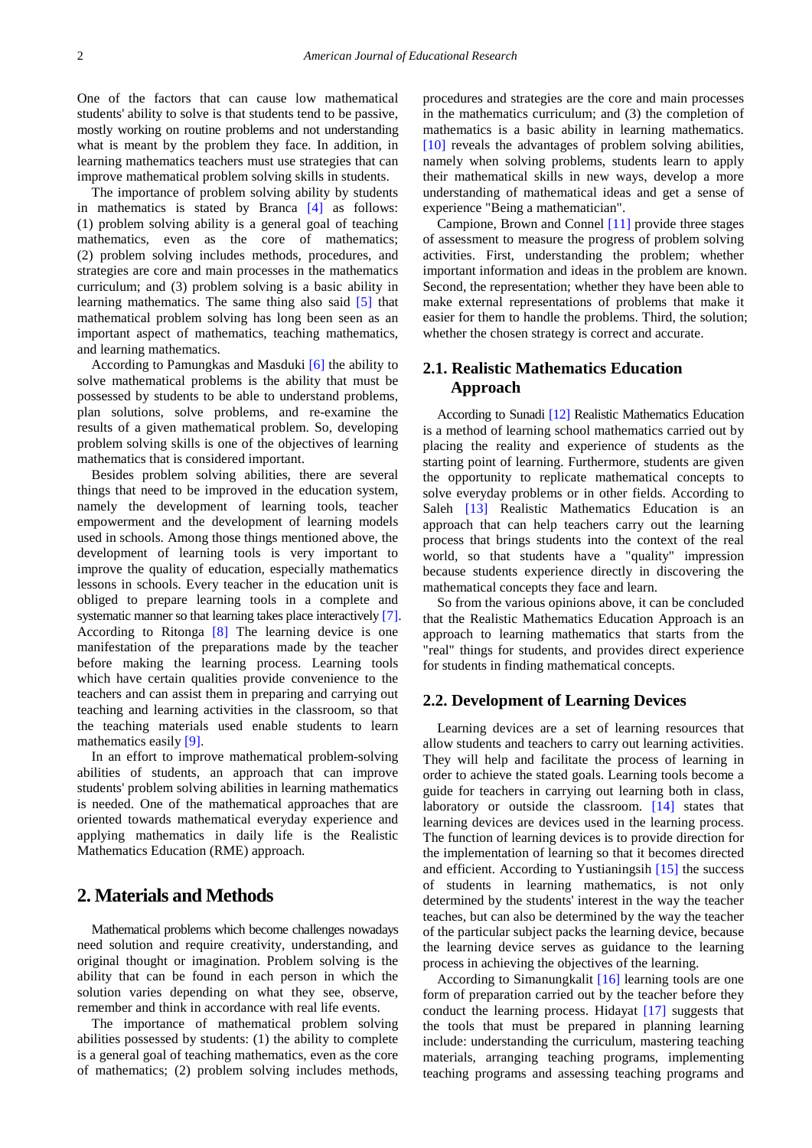One of the factors that can cause low mathematical students' ability to solve is that students tend to be passive, mostly working on routine problems and not understanding what is meant by the problem they face. In addition, in learning mathematics teachers must use strategies that can improve mathematical problem solving skills in students.

The importance of problem solving ability by students in mathematics is stated by Branca [\[4\]](#page-4-3) as follows: (1) problem solving ability is a general goal of teaching mathematics, even as the core of mathematics; (2) problem solving includes methods, procedures, and strategies are core and main processes in the mathematics curriculum; and (3) problem solving is a basic ability in learning mathematics. The same thing also said [\[5\]](#page-4-4) that mathematical problem solving has long been seen as an important aspect of mathematics, teaching mathematics, and learning mathematics.

According to Pamungkas and Masduki [\[6\]](#page-4-5) the ability to solve mathematical problems is the ability that must be possessed by students to be able to understand problems, plan solutions, solve problems, and re-examine the results of a given mathematical problem. So, developing problem solving skills is one of the objectives of learning mathematics that is considered important.

Besides problem solving abilities, there are several things that need to be improved in the education system, namely the development of learning tools, teacher empowerment and the development of learning models used in schools. Among those things mentioned above, the development of learning tools is very important to improve the quality of education, especially mathematics lessons in schools. Every teacher in the education unit is obliged to prepare learning tools in a complete and systematic manner so that learning takes place interactively [\[7\].](#page-4-6) According to Ritonga [\[8\]](#page-4-7) The learning device is one manifestation of the preparations made by the teacher before making the learning process. Learning tools which have certain qualities provide convenience to the teachers and can assist them in preparing and carrying out teaching and learning activities in the classroom, so that the teaching materials used enable students to learn mathematics easily [\[9\].](#page-4-8)

In an effort to improve mathematical problem-solving abilities of students, an approach that can improve students' problem solving abilities in learning mathematics is needed. One of the mathematical approaches that are oriented towards mathematical everyday experience and applying mathematics in daily life is the Realistic Mathematics Education (RME) approach.

## **2. Materials and Methods**

Mathematical problems which become challenges nowadays need solution and require creativity, understanding, and original thought or imagination. Problem solving is the ability that can be found in each person in which the solution varies depending on what they see, observe, remember and think in accordance with real life events.

The importance of mathematical problem solving abilities possessed by students: (1) the ability to complete is a general goal of teaching mathematics, even as the core of mathematics; (2) problem solving includes methods, procedures and strategies are the core and main processes in the mathematics curriculum; and (3) the completion of mathematics is a basic ability in learning mathematics. [\[10\]](#page-4-9) reveals the advantages of problem solving abilities, namely when solving problems, students learn to apply their mathematical skills in new ways, develop a more understanding of mathematical ideas and get a sense of experience "Being a mathematician".

Campione, Brown and Connel [\[11\]](#page-4-10) provide three stages of assessment to measure the progress of problem solving activities. First, understanding the problem; whether important information and ideas in the problem are known. Second, the representation; whether they have been able to make external representations of problems that make it easier for them to handle the problems. Third, the solution; whether the chosen strategy is correct and accurate.

## **2.1. Realistic Mathematics Education Approach**

According to Sunadi [\[12\]](#page-4-11) Realistic Mathematics Education is a method of learning school mathematics carried out by placing the reality and experience of students as the starting point of learning. Furthermore, students are given the opportunity to replicate mathematical concepts to solve everyday problems or in other fields. According to Saleh [\[13\]](#page-4-12) Realistic Mathematics Education is an approach that can help teachers carry out the learning process that brings students into the context of the real world, so that students have a "quality" impression because students experience directly in discovering the mathematical concepts they face and learn.

So from the various opinions above, it can be concluded that the Realistic Mathematics Education Approach is an approach to learning mathematics that starts from the "real" things for students, and provides direct experience for students in finding mathematical concepts.

#### **2.2. Development of Learning Devices**

Learning devices are a set of learning resources that allow students and teachers to carry out learning activities. They will help and facilitate the process of learning in order to achieve the stated goals. Learning tools become a guide for teachers in carrying out learning both in class, laboratory or outside the classroom. [\[14\]](#page-4-13) states that learning devices are devices used in the learning process. The function of learning devices is to provide direction for the implementation of learning so that it becomes directed and efficient. According to Yustianingsih [\[15\]](#page-4-14) the success of students in learning mathematics, is not only determined by the students' interest in the way the teacher teaches, but can also be determined by the way the teacher of the particular subject packs the learning device, because the learning device serves as guidance to the learning process in achieving the objectives of the learning.

According to Simanungkalit [\[16\]](#page-4-15) learning tools are one form of preparation carried out by the teacher before they conduct the learning process. Hidayat [\[17\]](#page-4-16) suggests that the tools that must be prepared in planning learning include: understanding the curriculum, mastering teaching materials, arranging teaching programs, implementing teaching programs and assessing teaching programs and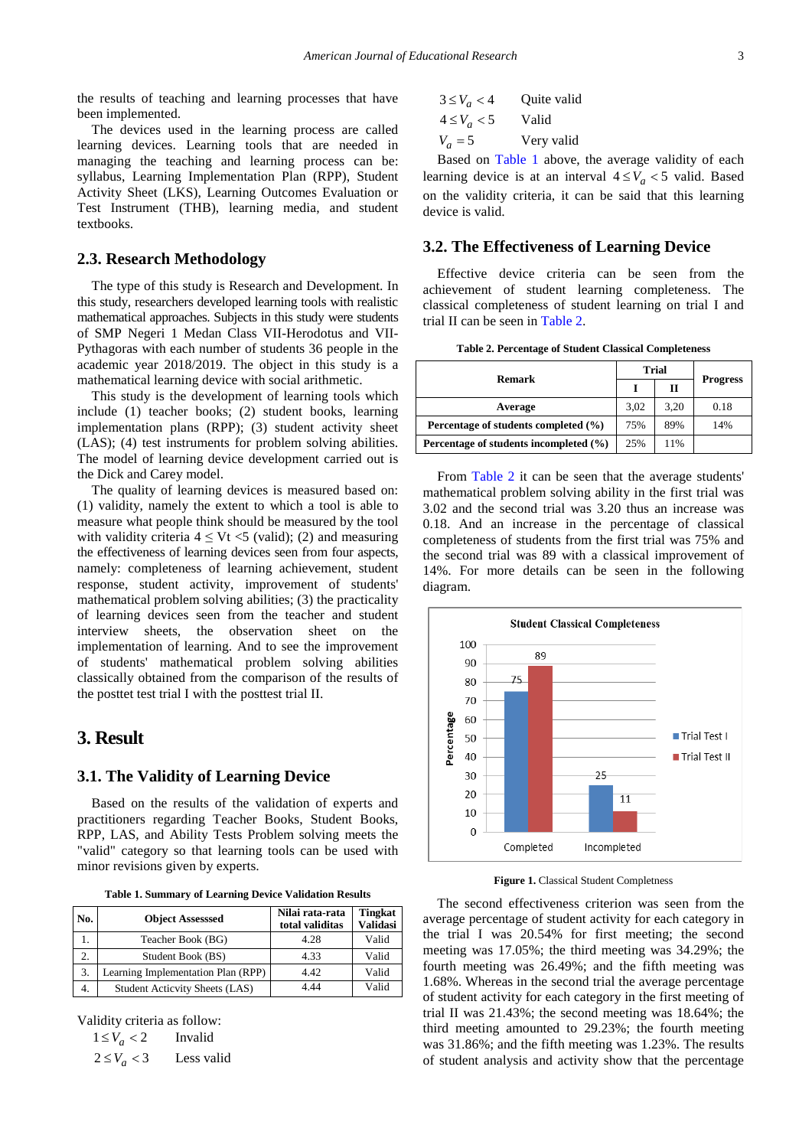the results of teaching and learning processes that have been implemented.

The devices used in the learning process are called learning devices. Learning tools that are needed in managing the teaching and learning process can be: syllabus, Learning Implementation Plan (RPP), Student Activity Sheet (LKS), Learning Outcomes Evaluation or Test Instrument (THB), learning media, and student textbooks.

#### **2.3. Research Methodology**

The type of this study is Research and Development. In this study, researchers developed learning tools with realistic mathematical approaches. Subjects in this study were students of SMP Negeri 1 Medan Class VII-Herodotus and VII-Pythagoras with each number of students 36 people in the academic year 2018/2019. The object in this study is a mathematical learning device with social arithmetic.

This study is the development of learning tools which include (1) teacher books; (2) student books, learning implementation plans (RPP); (3) student activity sheet (LAS); (4) test instruments for problem solving abilities. The model of learning device development carried out is the Dick and Carey model.

The quality of learning devices is measured based on: (1) validity, namely the extent to which a tool is able to measure what people think should be measured by the tool with validity criteria  $4 \leq Vt \leq 5$  (valid); (2) and measuring the effectiveness of learning devices seen from four aspects, namely: completeness of learning achievement, student response, student activity, improvement of students' mathematical problem solving abilities; (3) the practicality of learning devices seen from the teacher and student interview sheets, the observation sheet on the implementation of learning. And to see the improvement of students' mathematical problem solving abilities classically obtained from the comparison of the results of the posttet test trial I with the posttest trial II.

## **3. Result**

#### **3.1. The Validity of Learning Device**

Based on the results of the validation of experts and practitioners regarding Teacher Books, Student Books, RPP, LAS, and Ability Tests Problem solving meets the "valid" category so that learning tools can be used with minor revisions given by experts.

|  |  |  |  |  | Table 1. Summary of Learning Device Validation Results |  |
|--|--|--|--|--|--------------------------------------------------------|--|
|--|--|--|--|--|--------------------------------------------------------|--|

<span id="page-2-0"></span>

| No. | <b>Object Assesssed</b>            | Nilai rata-rata<br>total validitas | <b>Tingkat</b><br><b>Validasi</b> |
|-----|------------------------------------|------------------------------------|-----------------------------------|
|     | Teacher Book (BG)                  | 4.28                               | Valid                             |
| 2.  | Student Book (BS)                  | 4.33                               | Valid                             |
| 3.  | Learning Implementation Plan (RPP) | 4.42                               | Valid                             |
| 4.  | Student Acticvity Sheets (LAS)     | 4.44                               | Valid                             |

Validity criteria as follow:

 $1 \leq V_a < 2$  Invalid

 $2 \leq V_a < 3$  Less valid

| $3 \leq V_a < 4$ | Quite valid |
|------------------|-------------|
| $4 \leq V_a < 5$ | Valid       |
| $V_a = 5$        | Very valid  |

Based on [Table 1](#page-2-0) above, the average validity of each learning device is at an interval  $4 \leq V_a < 5$  valid. Based on the validity criteria, it can be said that this learning device is valid.

#### **3.2. The Effectiveness of Learning Device**

Effective device criteria can be seen from the achievement of student learning completeness. The classical completeness of student learning on trial I and trial II can be seen in [Table 2.](#page-2-1)

**Table 2. Percentage of Student Classical Completeness**

<span id="page-2-1"></span>

| Remark                                 | Trial |      |                 |
|----------------------------------------|-------|------|-----------------|
|                                        |       | П    | <b>Progress</b> |
| Average                                | 3.02  | 3.20 | 0.18            |
| Percentage of students completed (%)   | 75%   | 89%  | 14%             |
| Percentage of students incompleted (%) | 25%   | 11%  |                 |

From [Table 2](#page-2-1) it can be seen that the average students' mathematical problem solving ability in the first trial was 3.02 and the second trial was 3.20 thus an increase was 0.18. And an increase in the percentage of classical completeness of students from the first trial was 75% and the second trial was 89 with a classical improvement of 14%. For more details can be seen in the following diagram.



**Figure 1.** Classical Student Completness

The second effectiveness criterion was seen from the average percentage of student activity for each category in the trial I was 20.54% for first meeting; the second meeting was 17.05%; the third meeting was 34.29%; the fourth meeting was 26.49%; and the fifth meeting was 1.68%. Whereas in the second trial the average percentage of student activity for each category in the first meeting of trial II was 21.43%; the second meeting was 18.64%; the third meeting amounted to 29.23%; the fourth meeting was 31.86%; and the fifth meeting was 1.23%. The results of student analysis and activity show that the percentage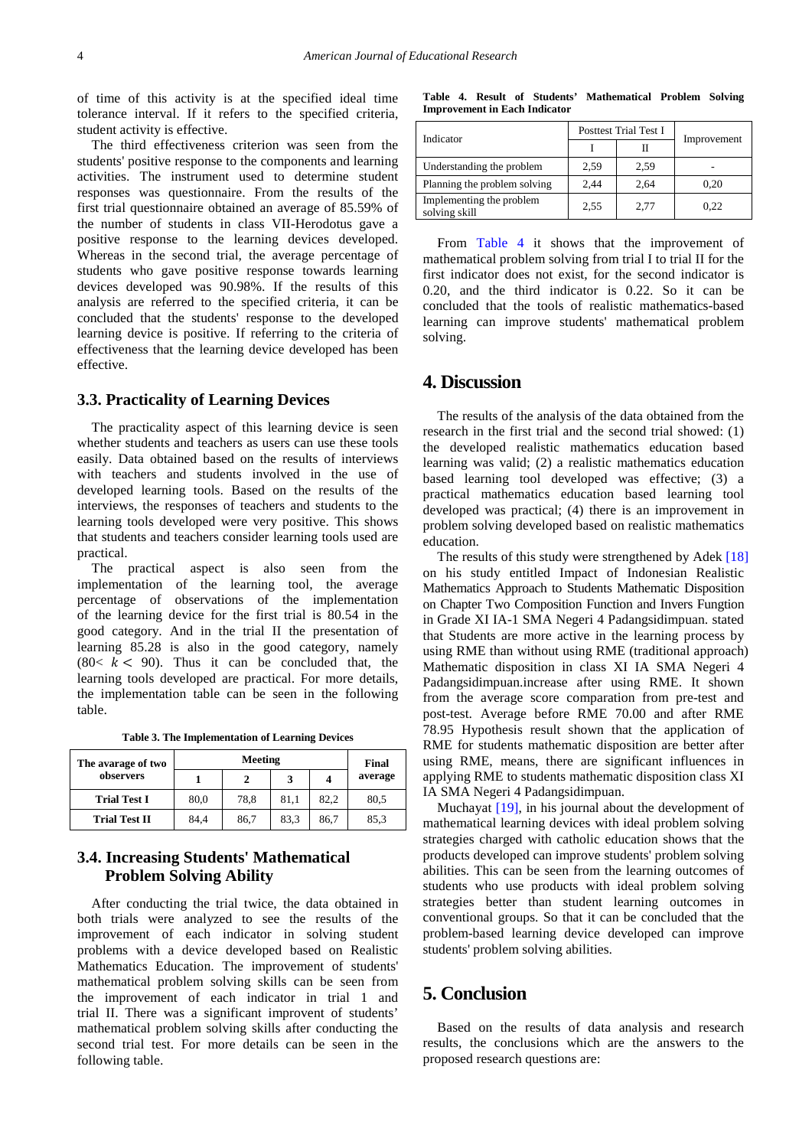of time of this activity is at the specified ideal time tolerance interval. If it refers to the specified criteria, student activity is effective.

The third effectiveness criterion was seen from the students' positive response to the components and learning activities. The instrument used to determine student responses was questionnaire. From the results of the first trial questionnaire obtained an average of 85.59% of the number of students in class VII-Herodotus gave a positive response to the learning devices developed. Whereas in the second trial, the average percentage of students who gave positive response towards learning devices developed was 90.98%. If the results of this analysis are referred to the specified criteria, it can be concluded that the students' response to the developed learning device is positive. If referring to the criteria of effectiveness that the learning device developed has been effective.

#### **3.3. Practicality of Learning Devices**

The practicality aspect of this learning device is seen whether students and teachers as users can use these tools easily. Data obtained based on the results of interviews with teachers and students involved in the use of developed learning tools. Based on the results of the interviews, the responses of teachers and students to the learning tools developed were very positive. This shows that students and teachers consider learning tools used are practical.

The practical aspect is also seen from the implementation of the learning tool, the average percentage of observations of the implementation of the learning device for the first trial is 80.54 in the good category. And in the trial II the presentation of learning 85.28 is also in the good category, namely  $(80 < k < 90)$ . Thus it can be concluded that, the learning tools developed are practical. For more details, the implementation table can be seen in the following table.

|  | Table 3. The Implementation of Learning Devices |  |  |  |
|--|-------------------------------------------------|--|--|--|
|--|-------------------------------------------------|--|--|--|

| The avarage of two   | Meeting |      |      |      | Final   |
|----------------------|---------|------|------|------|---------|
| observers            |         |      |      |      | average |
| <b>Trial Test I</b>  | 80.0    | 78.8 | 81.1 | 82.2 | 80.5    |
| <b>Trial Test II</b> | 84.4    | 86,7 | 83.3 | 86.7 | 85,3    |

## **3.4. Increasing Students' Mathematical Problem Solving Ability**

After conducting the trial twice, the data obtained in both trials were analyzed to see the results of the improvement of each indicator in solving student problems with a device developed based on Realistic Mathematics Education. The improvement of students' mathematical problem solving skills can be seen from the improvement of each indicator in trial 1 and trial II. There was a significant improvent of students' mathematical problem solving skills after conducting the second trial test. For more details can be seen in the following table.

**Table 4. Result of Students' Mathematical Problem Solving Improvement in Each Indicator**

<span id="page-3-0"></span>

| Indicator                                 |      | Posttest Trial Test I |             |  |
|-------------------------------------------|------|-----------------------|-------------|--|
|                                           |      |                       | Improvement |  |
| Understanding the problem                 | 2,59 | 2,59                  |             |  |
| Planning the problem solving              | 2,44 | 2,64                  | 0,20        |  |
| Implementing the problem<br>solving skill | 2.55 | 2,77                  | 0.22        |  |

From [Table 4](#page-3-0) it shows that the improvement of mathematical problem solving from trial I to trial II for the first indicator does not exist, for the second indicator is 0.20, and the third indicator is 0.22. So it can be concluded that the tools of realistic mathematics-based learning can improve students' mathematical problem solving.

# **4. Discussion**

The results of the analysis of the data obtained from the research in the first trial and the second trial showed: (1) the developed realistic mathematics education based learning was valid; (2) a realistic mathematics education based learning tool developed was effective; (3) a practical mathematics education based learning tool developed was practical; (4) there is an improvement in problem solving developed based on realistic mathematics education.

The results of this study were strengthened by Adek [\[18\]](#page-4-17) on his study entitled Impact of Indonesian Realistic Mathematics Approach to Students Mathematic Disposition on Chapter Two Composition Function and Invers Fungtion in Grade XI IA-1 SMA Negeri 4 Padangsidimpuan. stated that Students are more active in the learning process by using RME than without using RME (traditional approach) Mathematic disposition in class XI IA SMA Negeri 4 Padangsidimpuan.increase after using RME. It shown from the average score comparation from pre-test and post-test. Average before RME 70.00 and after RME 78.95 Hypothesis result shown that the application of RME for students mathematic disposition are better after using RME, means, there are significant influences in applying RME to students mathematic disposition class XI IA SMA Negeri 4 Padangsidimpuan.

Muchayat [\[19\],](#page-4-18) in his journal about the development of mathematical learning devices with ideal problem solving strategies charged with catholic education shows that the products developed can improve students' problem solving abilities. This can be seen from the learning outcomes of students who use products with ideal problem solving strategies better than student learning outcomes in conventional groups. So that it can be concluded that the problem-based learning device developed can improve students' problem solving abilities.

## **5. Conclusion**

Based on the results of data analysis and research results, the conclusions which are the answers to the proposed research questions are: